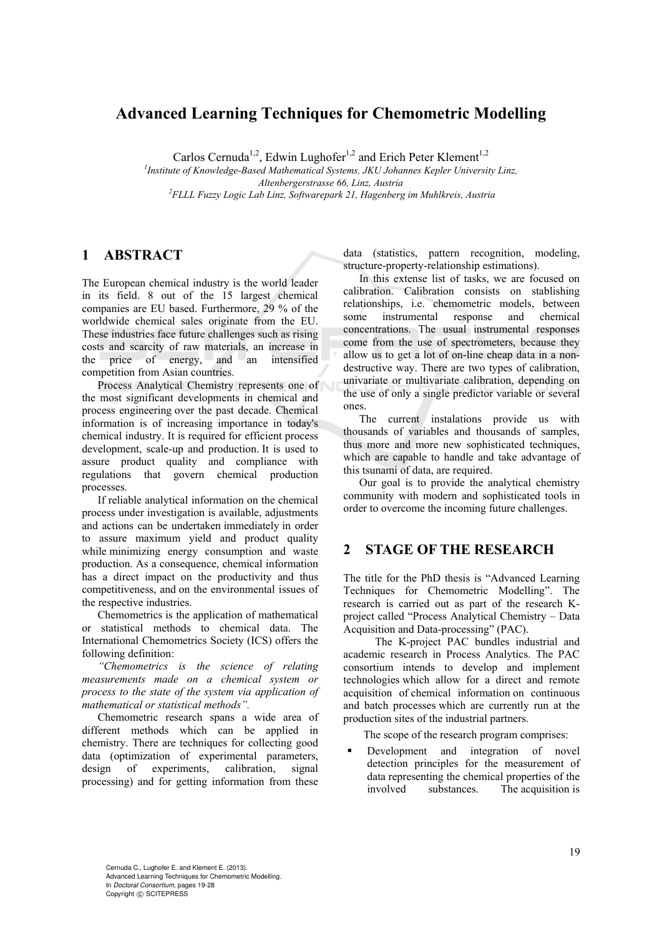# **Advanced Learning Techniques for Chemometric Modelling**

Carlos Cernuda<sup>1,2</sup>, Edwin Lughofer<sup>1,2</sup> and Erich Peter Klement<sup>1,2</sup>

<sup>1</sup> Institute of Knowledge-Based Mathematical Systems, JKU Johannes Kepler University Linz, *Altenbergerstrasse 66, Linz, Austria 2 FLLL Fuzzy Logic Lab Linz, Softwarepark 21, Hagenberg im Muhlkreis, Austria* 

## **1 ABSTRACT**

The European chemical industry is the world leader in its field. 8 out of the 15 largest chemical companies are EU based. Furthermore, 29 % of the worldwide chemical sales originate from the EU. These industries face future challenges such as rising costs and scarcity of raw materials, an increase in the price of energy, and an intensified competition from Asian countries.

Process Analytical Chemistry represents one of the most significant developments in chemical and process engineering over the past decade. Chemical information is of increasing importance in today's chemical industry. It is required for efficient process development, scale-up and production. It is used to assure product quality and compliance with regulations that govern chemical production processes.

If reliable analytical information on the chemical process under investigation is available, adjustments and actions can be undertaken immediately in order to assure maximum yield and product quality while minimizing energy consumption and waste production. As a consequence, chemical information has a direct impact on the productivity and thus competitiveness, and on the environmental issues of the respective industries.

Chemometrics is the application of mathematical or statistical methods to chemical data. The International Chemometrics Society (ICS) offers the following definition:

*"Chemometrics is the science of relating measurements made on a chemical system or process to the state of the system via application of mathematical or statistical methods".* 

Chemometric research spans a wide area of different methods which can be applied in chemistry. There are techniques for collecting good data (optimization of experimental parameters, design of experiments, calibration, signal processing) and for getting information from these data (statistics, pattern recognition, modeling, structure-property-relationship estimations).

In this extense list of tasks, we are focused on calibration. Calibration consists on stablishing relationships, i.e. chemometric models, between some instrumental response and chemical concentrations. The usual instrumental responses come from the use of spectrometers, because they allow us to get a lot of on-line cheap data in a nondestructive way. There are two types of calibration, univariate or multivariate calibration, depending on the use of only a single predictor variable or several ones.

The current instalations provide us with thousands of variables and thousands of samples, thus more and more new sophisticated techniques, which are capable to handle and take advantage of this tsunami of data, are required.

Our goal is to provide the analytical chemistry community with modern and sophisticated tools in order to overcome the incoming future challenges.

# **2 STAGE OF THE RESEARCH**

The title for the PhD thesis is "Advanced Learning Techniques for Chemometric Modelling". The research is carried out as part of the research Kproject called "Process Analytical Chemistry – Data Acquisition and Data-processing" (PAC).

The K-project PAC bundles industrial and academic research in Process Analytics. The PAC consortium intends to develop and implement technologies which allow for a direct and remote acquisition of chemical information on continuous and batch processes which are currently run at the production sites of the industrial partners.

The scope of the research program comprises:

 Development and integration of novel detection principles for the measurement of data representing the chemical properties of the involved substances. The acquisition is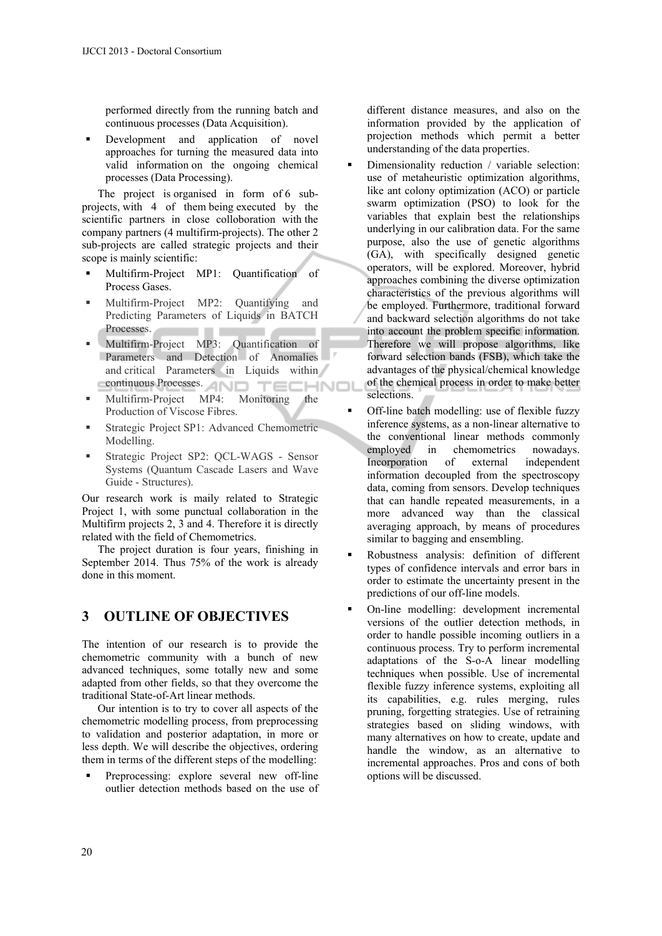performed directly from the running batch and continuous processes (Data Acquisition).

 Development and application of novel approaches for turning the measured data into valid information on the ongoing chemical processes (Data Processing).

The project is organised in form of 6 subprojects, with 4 of them being executed by the scientific partners in close colloboration with the company partners (4 multifirm-projects). The other 2 sub-projects are called strategic projects and their scope is mainly scientific:

- Multifirm-Project MP1: Quantification of Process Gases.
- Multifirm-Project MP2: Quantifying and Predicting Parameters of Liquids in BATCH Processes. . . ٠
- Multifirm-Project MP3: Quantification of Parameters and Detection of Anomalies and critical Parameters in Liquids within continuous Processes. AND TECHNOL
- Multifirm-Project MP4: Monitoring the Production of Viscose Fibres.
- Strategic Project SP1: Advanced Chemometric Modelling.
- Strategic Project SP2: QCL-WAGS Sensor Systems (Quantum Cascade Lasers and Wave Guide - Structures).

Our research work is maily related to Strategic Project 1, with some punctual collaboration in the Multifirm projects 2, 3 and 4. Therefore it is directly related with the field of Chemometrics.

The project duration is four years, finishing in September 2014. Thus 75% of the work is already done in this moment.

### **3 OUTLINE OF OBJECTIVES**

The intention of our research is to provide the chemometric community with a bunch of new advanced techniques, some totally new and some adapted from other fields, so that they overcome the traditional State-of-Art linear methods.

Our intention is to try to cover all aspects of the chemometric modelling process, from preprocessing to validation and posterior adaptation, in more or less depth. We will describe the objectives, ordering them in terms of the different steps of the modelling:

 Preprocessing: explore several new off-line outlier detection methods based on the use of

different distance measures, and also on the information provided by the application of projection methods which permit a better understanding of the data properties.

- Dimensionality reduction / variable selection: use of metaheuristic optimization algorithms, like ant colony optimization (ACO) or particle swarm optimization (PSO) to look for the variables that explain best the relationships underlying in our calibration data. For the same purpose, also the use of genetic algorithms (GA), with specifically designed genetic operators, will be explored. Moreover, hybrid approaches combining the diverse optimization characteristics of the previous algorithms will be employed. Furthermore, traditional forward and backward selection algorithms do not take into account the problem specific information. Therefore we will propose algorithms, like forward selection bands (FSB), which take the advantages of the physical/chemical knowledge of the chemical process in order to make better selections.
- Off-line batch modelling: use of flexible fuzzy inference systems, as a non-linear alternative to the conventional linear methods commonly employed in chemometrics nowadays.<br>Incorporation of external independent Incorporation of external information decoupled from the spectroscopy data, coming from sensors. Develop techniques that can handle repeated measurements, in a more advanced way than the classical averaging approach, by means of procedures similar to bagging and ensembling.
- Robustness analysis: definition of different types of confidence intervals and error bars in order to estimate the uncertainty present in the predictions of our off-line models.
- On-line modelling: development incremental versions of the outlier detection methods, in order to handle possible incoming outliers in a continuous process. Try to perform incremental adaptations of the S-o-A linear modelling techniques when possible. Use of incremental flexible fuzzy inference systems, exploiting all its capabilities, e.g. rules merging, rules pruning, forgetting strategies. Use of retraining strategies based on sliding windows, with many alternatives on how to create, update and handle the window, as an alternative to incremental approaches. Pros and cons of both options will be discussed.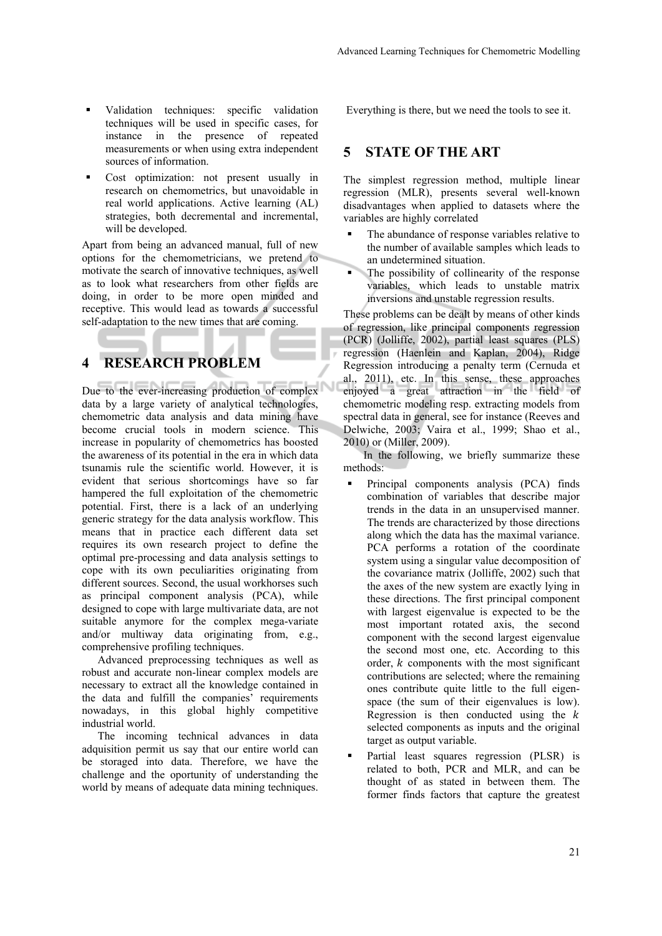- Validation techniques: specific validation techniques will be used in specific cases, for instance in the presence of repeated measurements or when using extra independent sources of information.
- Cost optimization: not present usually in research on chemometrics, but unavoidable in real world applications. Active learning (AL) strategies, both decremental and incremental, will be developed.

Apart from being an advanced manual, full of new options for the chemometricians, we pretend to motivate the search of innovative techniques, as well as to look what researchers from other fields are doing, in order to be more open minded and receptive. This would lead as towards a successful self-adaptation to the new times that are coming.

# **4 RESEARCH PROBLEM**

Due to the ever-increasing production of complex data by a large variety of analytical technologies, chemometric data analysis and data mining have become crucial tools in modern science. This increase in popularity of chemometrics has boosted the awareness of its potential in the era in which data tsunamis rule the scientific world. However, it is evident that serious shortcomings have so far hampered the full exploitation of the chemometric potential. First, there is a lack of an underlying generic strategy for the data analysis workflow. This means that in practice each different data set requires its own research project to define the optimal pre-processing and data analysis settings to cope with its own peculiarities originating from different sources. Second, the usual workhorses such as principal component analysis (PCA), while designed to cope with large multivariate data, are not suitable anymore for the complex mega-variate and/or multiway data originating from, e.g., comprehensive profiling techniques.

Advanced preprocessing techniques as well as robust and accurate non-linear complex models are necessary to extract all the knowledge contained in the data and fulfill the companies' requirements nowadays, in this global highly competitive industrial world.

The incoming technical advances in data adquisition permit us say that our entire world can be storaged into data. Therefore, we have the challenge and the oportunity of understanding the world by means of adequate data mining techniques. Everything is there, but we need the tools to see it.

### **5 STATE OF THE ART**

The simplest regression method, multiple linear regression (MLR), presents several well-known disadvantages when applied to datasets where the variables are highly correlated

- The abundance of response variables relative to the number of available samples which leads to an undetermined situation.
- The possibility of collinearity of the response variables, which leads to unstable matrix inversions and unstable regression results.

These problems can be dealt by means of other kinds of regression, like principal components regression (PCR) (Jolliffe, 2002), partial least squares (PLS) regression (Haenlein and Kaplan, 2004), Ridge Regression introducing a penalty term (Cernuda et al., 2011), etc. In this sense, these approaches enjoyed a great attraction in the field of chemometric modeling resp. extracting models from spectral data in general, see for instance (Reeves and Delwiche, 2003; Vaira et al., 1999; Shao et al., 2010) or (Miller, 2009).

In the following, we briefly summarize these methods:

- Principal components analysis (PCA) finds combination of variables that describe major trends in the data in an unsupervised manner. The trends are characterized by those directions along which the data has the maximal variance. PCA performs a rotation of the coordinate system using a singular value decomposition of the covariance matrix (Jolliffe, 2002) such that the axes of the new system are exactly lying in these directions. The first principal component with largest eigenvalue is expected to be the most important rotated axis, the second component with the second largest eigenvalue the second most one, etc. According to this order,  $k$  components with the most significant contributions are selected; where the remaining ones contribute quite little to the full eigenspace (the sum of their eigenvalues is low). Regression is then conducted using the  $k$ selected components as inputs and the original target as output variable.
- Partial least squares regression (PLSR) is related to both, PCR and MLR, and can be thought of as stated in between them. The former finds factors that capture the greatest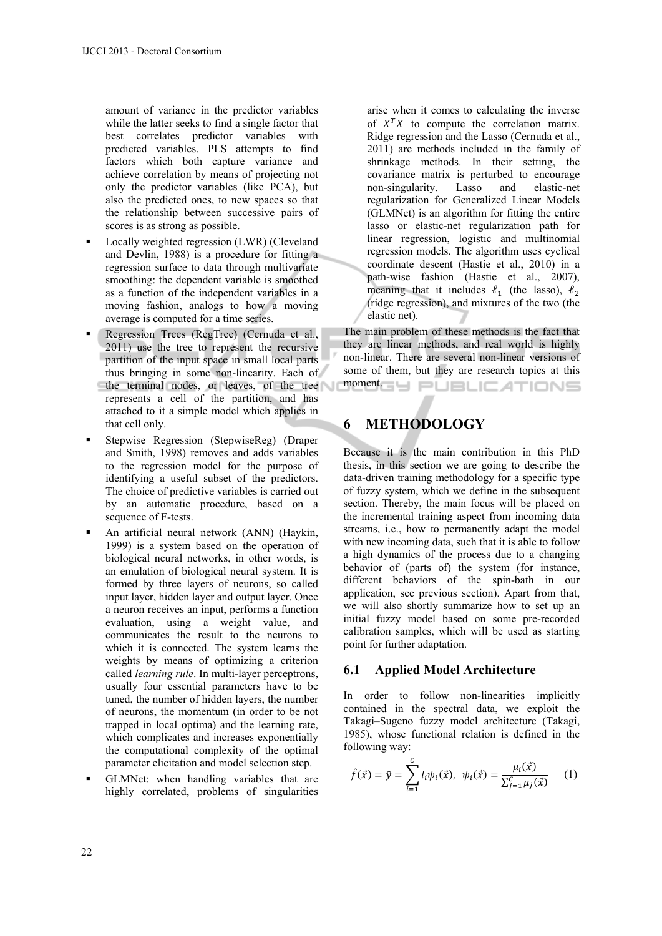amount of variance in the predictor variables while the latter seeks to find a single factor that best correlates predictor variables with predicted variables. PLS attempts to find factors which both capture variance and achieve correlation by means of projecting not only the predictor variables (like PCA), but also the predicted ones, to new spaces so that the relationship between successive pairs of scores is as strong as possible.

- Locally weighted regression (LWR) (Cleveland and Devlin, 1988) is a procedure for fitting a regression surface to data through multivariate smoothing: the dependent variable is smoothed as a function of the independent variables in a moving fashion, analogs to how a moving average is computed for a time series.
- Regression Trees (RegTree) (Cernuda et al., 2011) use the tree to represent the recursive partition of the input space in small local parts thus bringing in some non-linearity. Each of the terminal nodes, or leaves, of the tree represents a cell of the partition, and has attached to it a simple model which applies in that cell only.
- Stepwise Regression (StepwiseReg) (Draper and Smith, 1998) removes and adds variables to the regression model for the purpose of identifying a useful subset of the predictors. The choice of predictive variables is carried out by an automatic procedure, based on a sequence of F-tests.
- An artificial neural network (ANN) (Haykin, 1999) is a system based on the operation of biological neural networks, in other words, is an emulation of biological neural system. It is formed by three layers of neurons, so called input layer, hidden layer and output layer. Once a neuron receives an input, performs a function evaluation, using a weight value, and communicates the result to the neurons to which it is connected. The system learns the weights by means of optimizing a criterion called *learning rule*. In multi-layer perceptrons, usually four essential parameters have to be tuned, the number of hidden layers, the number of neurons, the momentum (in order to be not trapped in local optima) and the learning rate, which complicates and increases exponentially the computational complexity of the optimal parameter elicitation and model selection step.
- GLMNet: when handling variables that are highly correlated, problems of singularities

arise when it comes to calculating the inverse of  $X<sup>T</sup>X$  to compute the correlation matrix. Ridge regression and the Lasso (Cernuda et al., 2011) are methods included in the family of shrinkage methods. In their setting, the covariance matrix is perturbed to encourage non-singularity. Lasso and elastic-net regularization for Generalized Linear Models (GLMNet) is an algorithm for fitting the entire lasso or elastic-net regularization path for linear regression, logistic and multinomial regression models. The algorithm uses cyclical coordinate descent (Hastie et al., 2010) in a path-wise fashion (Hastie et al., 2007), meaning that it includes  $\ell_1$  (the lasso),  $\ell_2$ (ridge regression), and mixtures of the two (the elastic net).

The main problem of these methods is the fact that they are linear methods, and real world is highly non-linear. There are several non-linear versions of some of them, but they are research topics at this **moment.grg PUBLICATIONS** 

# **6 METHODOLOGY**

Because it is the main contribution in this PhD thesis, in this section we are going to describe the data-driven training methodology for a specific type of fuzzy system, which we define in the subsequent section. Thereby, the main focus will be placed on the incremental training aspect from incoming data streams, i.e., how to permanently adapt the model with new incoming data, such that it is able to follow a high dynamics of the process due to a changing behavior of (parts of) the system (for instance, different behaviors of the spin-bath in our application, see previous section). Apart from that, we will also shortly summarize how to set up an initial fuzzy model based on some pre-recorded calibration samples, which will be used as starting point for further adaptation.

### **6.1 Applied Model Architecture**

In order to follow non-linearities implicitly contained in the spectral data, we exploit the Takagi–Sugeno fuzzy model architecture (Takagi, 1985), whose functional relation is defined in the following way:

$$
\hat{f}(\vec{x}) = \hat{y} = \sum_{i=1}^{C} l_i \psi_i(\vec{x}), \ \psi_i(\vec{x}) = \frac{\mu_i(\vec{x})}{\sum_{j=1}^{C} \mu_j(\vec{x})}
$$
 (1)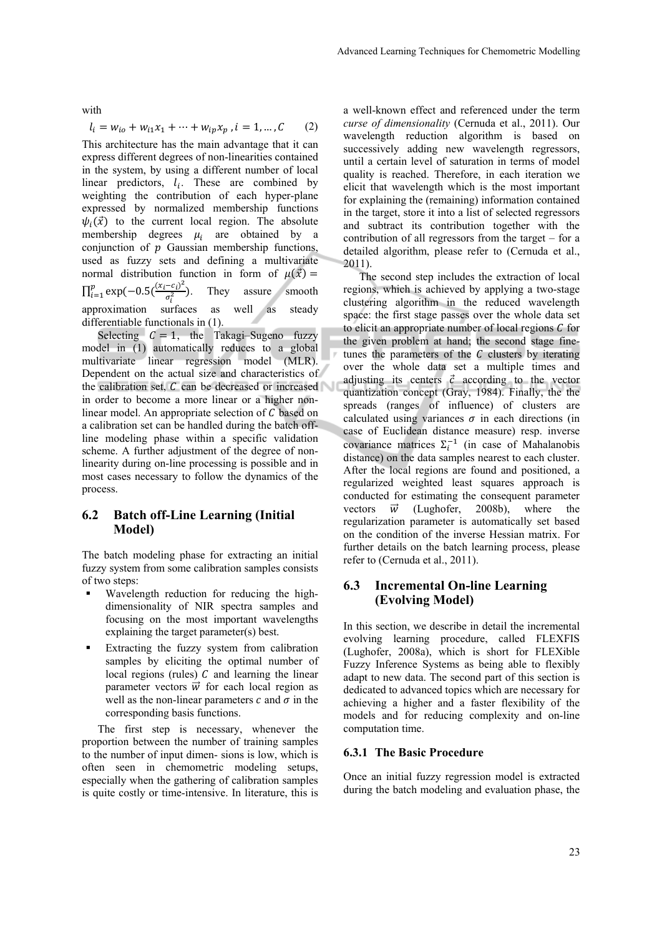with

$$
l_i = w_{io} + w_{i1}x_1 + \dots + w_{ip}x_p, i = 1, ..., C
$$
 (2)

This architecture has the main advantage that it can express different degrees of non-linearities contained in the system, by using a different number of local linear predictors,  $l_i$ . These are combined by weighting the contribution of each hyper-plane expressed by normalized membership functions  $\psi_i(\vec{x})$  to the current local region. The absolute membership degrees  $\mu_i$  are obtained by a conjunction of  $p$  Gaussian membership functions, used as fuzzy sets and defining a multivariate normal distribution function in form of  $\mu(\vec{x}) =$  $\prod_{i=1}^{p} \exp(-0.5(\frac{(x_i - c_i)^2}{\sigma_i^2}))$ . They assure smooth approximation surfaces as well as steady differentiable functionals in (1).

Selecting  $C = 1$ , the Takagi–Sugeno fuzzy model in (1) automatically reduces to a global multivariate linear regression model (MLR). Dependent on the actual size and characteristics of the calibration set,  $C$  can be decreased or increased in order to become a more linear or a higher nonlinear model. An appropriate selection of  $C$  based on a calibration set can be handled during the batch offline modeling phase within a specific validation scheme. A further adjustment of the degree of nonlinearity during on-line processing is possible and in most cases necessary to follow the dynamics of the process.

### **6.2 Batch off-Line Learning (Initial Model)**

The batch modeling phase for extracting an initial fuzzy system from some calibration samples consists of two steps:

- Wavelength reduction for reducing the highdimensionality of NIR spectra samples and focusing on the most important wavelengths explaining the target parameter(s) best.
- Extracting the fuzzy system from calibration samples by eliciting the optimal number of local regions (rules)  $C$  and learning the linear parameter vectors  $\vec{w}$  for each local region as well as the non-linear parameters  $c$  and  $\sigma$  in the corresponding basis functions.

The first step is necessary, whenever the proportion between the number of training samples to the number of input dimen- sions is low, which is often seen in chemometric modeling setups, especially when the gathering of calibration samples is quite costly or time-intensive. In literature, this is

a well-known effect and referenced under the term *curse of dimensionality* (Cernuda et al., 2011). Our wavelength reduction algorithm is based on successively adding new wavelength regressors, until a certain level of saturation in terms of model quality is reached. Therefore, in each iteration we elicit that wavelength which is the most important for explaining the (remaining) information contained in the target, store it into a list of selected regressors and subtract its contribution together with the contribution of all regressors from the target – for a detailed algorithm, please refer to (Cernuda et al., 2011).

The second step includes the extraction of local regions, which is achieved by applying a two-stage clustering algorithm in the reduced wavelength space: the first stage passes over the whole data set to elicit an appropriate number of local regions  $C$  for the given problem at hand; the second stage finetunes the parameters of the  $C$  clusters by iterating over the whole data set a multiple times and adjusting its centers  $\vec{c}$  according to the vector quantization concept (Gray, 1984). Finally, the the spreads (ranges of influence) of clusters are calculated using variances  $\sigma$  in each directions (in case of Euclidean distance measure) resp. inverse covariance matrices  $\Sigma_i^{-1}$  (in case of Mahalanobis distance) on the data samples nearest to each cluster. After the local regions are found and positioned, a regularized weighted least squares approach is conducted for estimating the consequent parameter vectors  $\vec{w}$  (Lughofer, 2008b), where the regularization parameter is automatically set based on the condition of the inverse Hessian matrix. For further details on the batch learning process, please refer to (Cernuda et al., 2011).

### **6.3 Incremental On-line Learning (Evolving Model)**

In this section, we describe in detail the incremental evolving learning procedure, called FLEXFIS (Lughofer, 2008a), which is short for FLEXible Fuzzy Inference Systems as being able to flexibly adapt to new data. The second part of this section is dedicated to advanced topics which are necessary for achieving a higher and a faster flexibility of the models and for reducing complexity and on-line computation time.

#### **6.3.1 The Basic Procedure**

Once an initial fuzzy regression model is extracted during the batch modeling and evaluation phase, the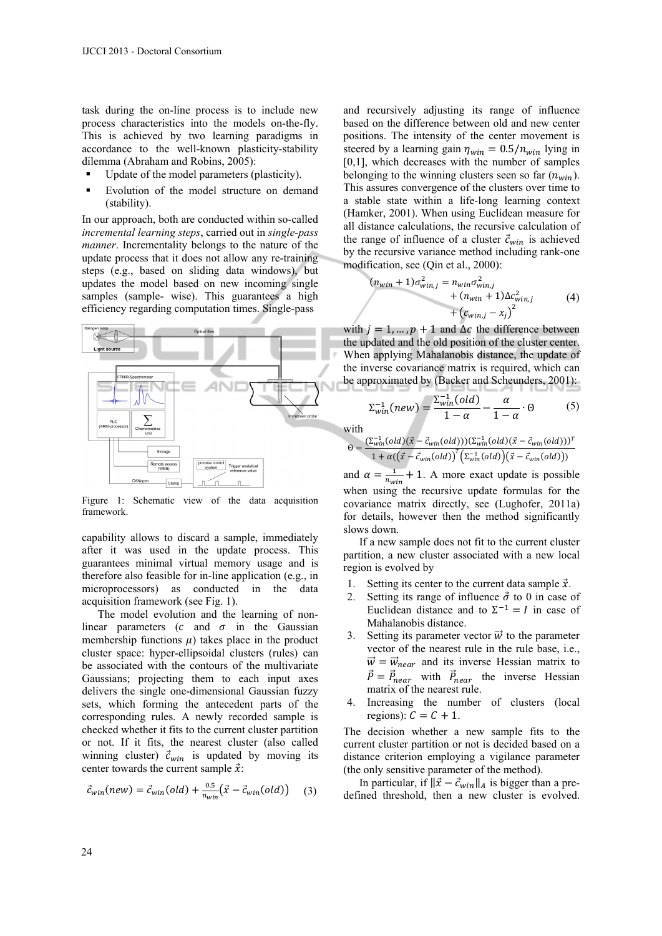task during the on-line process is to include new process characteristics into the models on-the-fly. This is achieved by two learning paradigms in accordance to the well-known plasticity-stability dilemma (Abraham and Robins, 2005):

- Update of the model parameters (plasticity).
- Evolution of the model structure on demand (stability).

In our approach, both are conducted within so-called *incremental learning steps*, carried out in *single-pass manner*. Incrementality belongs to the nature of the update process that it does not allow any re-training steps (e.g., based on sliding data windows), but updates the model based on new incoming single samples (sample- wise). This guarantees a high efficiency regarding computation times. Single-pass



Figure 1: Schematic view of the data acquisition framework.

capability allows to discard a sample, immediately after it was used in the update process. This guarantees minimal virtual memory usage and is therefore also feasible for in-line application (e.g., in microprocessors) as conducted in the data acquisition framework (see Fig. 1).

The model evolution and the learning of nonlinear parameters  $(c \text{ and } \sigma \text{ in the Gaussian})$ membership functions  $\mu$ ) takes place in the product cluster space: hyper-ellipsoidal clusters (rules) can be associated with the contours of the multivariate Gaussians; projecting them to each input axes delivers the single one-dimensional Gaussian fuzzy sets, which forming the antecedent parts of the corresponding rules. A newly recorded sample is checked whether it fits to the current cluster partition or not. If it fits, the nearest cluster (also called winning cluster)  $\vec{c}_{win}$  is updated by moving its center towards the current sample  $\vec{x}$ :

$$
\vec{c}_{win}(new) = \vec{c}_{win}(old) + \frac{0.5}{n_{win}}(\vec{x} - \vec{c}_{win}(old))
$$
 (3)

and recursively adjusting its range of influence based on the difference between old and new center positions. The intensity of the center movement is steered by a learning gain  $\eta_{win} = 0.5/n_{win}$  lying in [0,1], which decreases with the number of samples belonging to the winning clusters seen so far  $(n_{win})$ . This assures convergence of the clusters over time to a stable state within a life-long learning context (Hamker, 2001). When using Euclidean measure for all distance calculations, the recursive calculation of the range of influence of a cluster  $\vec{c}_{win}$  is achieved by the recursive variance method including rank-one modification, see (Qin et al., 2000):

$$
(n_{win} + 1)\sigma_{win,j}^2 = n_{win}\sigma_{win,j}^2 + (n_{win} + 1)\Delta c_{win,j}^2 + (c_{win,j} - x_j)^2
$$
 (4)

with  $j = 1, ..., p + 1$  and  $\Delta c$  the difference between the updated and the old position of the cluster center. When applying Mahalanobis distance, the update of the inverse covariance matrix is required, which can be approximated by (Backer and Scheunders, 2001):

$$
\Sigma_{win}^{-1}(new) = \frac{\Sigma_{win}^{-1}(old)}{1 - \alpha} - \frac{\alpha}{1 - \alpha} \cdot \Theta
$$
 (5)

with

$$
\Theta = \frac{(\Sigma_{win}^{-1}(old)(\vec{x} - \vec{c}_{win}(old)))(\Sigma_{win}^{-1}(old)(\vec{x} - \vec{c}_{win}(old)))^T}{1 + \alpha((\vec{x} - \vec{c}_{win}(old))^T(\Sigma_{win}^{-1}(old))(\vec{x} - \vec{c}_{win}(old)))}
$$

ି<sup>ୁ</sup> କା $\lambda$ and  $\alpha = \frac{1}{n_{win}} + 1$ . A more exact update is possible when using the recursive update formulas for the covariance matrix directly, see (Lughofer, 2011a) for details, however then the method significantly slows down.

If a new sample does not fit to the current cluster partition, a new cluster associated with a new local region is evolved by

- 1. Setting its center to the current data sample  $\vec{x}$ .
- 2. Setting its range of influence  $\vec{\sigma}$  to 0 in case of Euclidean distance and to  $\Sigma^{-1} = I$  in case of Mahalanobis distance.
- 3. Setting its parameter vector  $\vec{w}$  to the parameter vector of the nearest rule in the rule base, i.e.,  $\vec{w} = \vec{w}_{near}$  and its inverse Hessian matrix to  $\vec{P} = \vec{P}_{near}$  with  $\vec{P}_{near}$  the inverse Hessian matrix of the nearest rule.
- 4. Increasing the number of clusters (local regions):  $C = C + 1$ .

The decision whether a new sample fits to the current cluster partition or not is decided based on a distance criterion employing a vigilance parameter (the only sensitive parameter of the method).

In particular, if  $\|\vec{x} - \vec{c}_{win}\|_A$  is bigger than a predefined threshold, then a new cluster is evolved.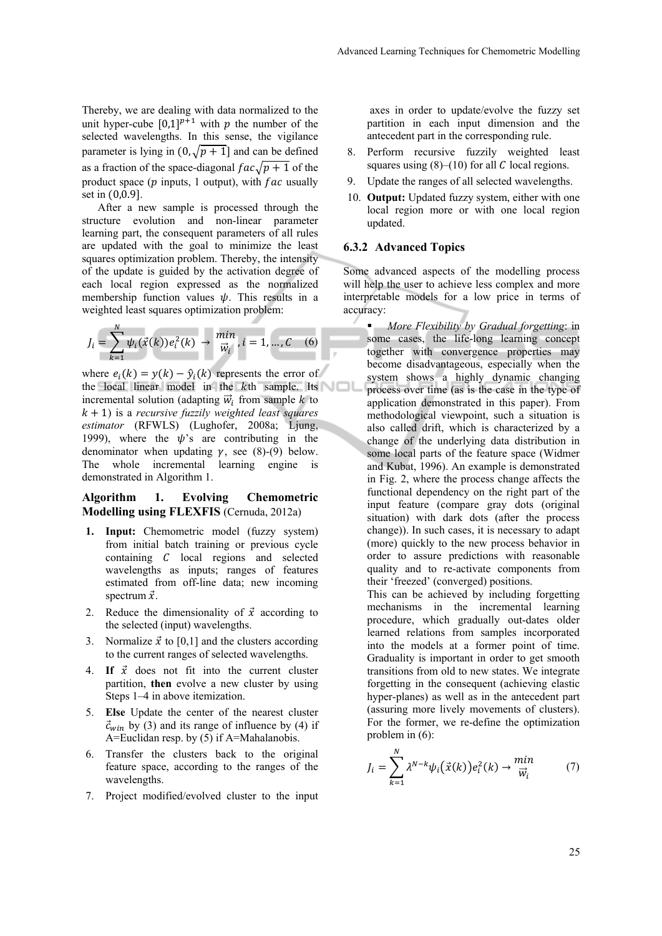Thereby, we are dealing with data normalized to the unit hyper-cube  $[0,1]^{p+1}$  with p the number of the selected wavelengths. In this sense, the vigilance parameter is lying in  $(0, \sqrt{p+1}]$  and can be defined as a fraction of the space-diagonal  $fac\sqrt{p+1}$  of the product space ( $p$  inputs, 1 output), with  $fac$  usually set in  $(0.0.9]$ .

After a new sample is processed through the structure evolution and non-linear parameter learning part, the consequent parameters of all rules are updated with the goal to minimize the least squares optimization problem. Thereby, the intensity of the update is guided by the activation degree of each local region expressed as the normalized membership function values  $\psi$ . This results in a weighted least squares optimization problem:

$$
J_i = \sum_{k=1}^{N} \psi_i(\vec{x}(k)) e_i^2(k) \to \frac{\min}{\vec{w}_i}, i = 1, ..., C \quad (6)
$$

where  $e_i(k) = y(k) - \hat{y}_i(k)$  represents the error of the local linear model in the  $k$ th sample. Its incremental solution (adapting  $\vec{w}_i$  from sample k to  $k + 1$ ) is a *recursive fuzzily weighted least squares estimator* (RFWLS) (Lughofer, 2008a; Ljung, 1999), where the  $\psi$ 's are contributing in the denominator when updating  $\gamma$ , see (8)-(9) below. The whole incremental learning engine is demonstrated in Algorithm 1.

### **Algorithm 1. Evolving Chemometric Modelling using FLEXFIS** (Cernuda, 2012a)

- **1. Input:** Chemometric model (fuzzy system) from initial batch training or previous cycle containing  $C$  local regions and selected wavelengths as inputs; ranges of features estimated from off-line data; new incoming spectrum  $\vec{x}$ .
- 2. Reduce the dimensionality of  $\vec{x}$  according to the selected (input) wavelengths.
- 3. Normalize  $\vec{x}$  to [0,1] and the clusters according to the current ranges of selected wavelengths.
- 4. **If**  $\vec{x}$  does not fit into the current cluster partition, **then** evolve a new cluster by using Steps 1–4 in above itemization.
- 5. **Else** Update the center of the nearest cluster  $\vec{c}_{win}$  by (3) and its range of influence by (4) if A=Euclidan resp. by (5) if A=Mahalanobis.
- 6. Transfer the clusters back to the original feature space, according to the ranges of the wavelengths.
- 7. Project modified/evolved cluster to the input

 axes in order to update/evolve the fuzzy set partition in each input dimension and the antecedent part in the corresponding rule.

- 8. Perform recursive fuzzily weighted least squares using  $(8)$ – $(10)$  for all C local regions.
- 9. Update the ranges of all selected wavelengths.
- 10. **Output:** Updated fuzzy system, either with one local region more or with one local region updated.

#### **6.3.2 Advanced Topics**

Some advanced aspects of the modelling process will help the user to achieve less complex and more interpretable models for a low price in terms of accuracy:

 *More Flexibility by Gradual forgetting*: in some cases, the life-long learning concept together with convergence properties may become disadvantageous, especially when the system shows a highly dynamic changing process over time (as is the case in the type of application demonstrated in this paper). From methodological viewpoint, such a situation is also called drift, which is characterized by a change of the underlying data distribution in some local parts of the feature space (Widmer and Kubat, 1996). An example is demonstrated in Fig. 2, where the process change affects the functional dependency on the right part of the input feature (compare gray dots (original situation) with dark dots (after the process change)). In such cases, it is necessary to adapt (more) quickly to the new process behavior in order to assure predictions with reasonable quality and to re-activate components from their 'freezed' (converged) positions.

This can be achieved by including forgetting mechanisms in the incremental learning procedure, which gradually out-dates older learned relations from samples incorporated into the models at a former point of time. Graduality is important in order to get smooth transitions from old to new states. We integrate forgetting in the consequent (achieving elastic hyper-planes) as well as in the antecedent part (assuring more lively movements of clusters). For the former, we re-define the optimization problem in (6):

$$
J_i = \sum_{k=1}^{N} \lambda^{N-k} \psi_i(\vec{x}(k)) e_i^2(k) \to \frac{\min}{\vec{w}_i}
$$
 (7)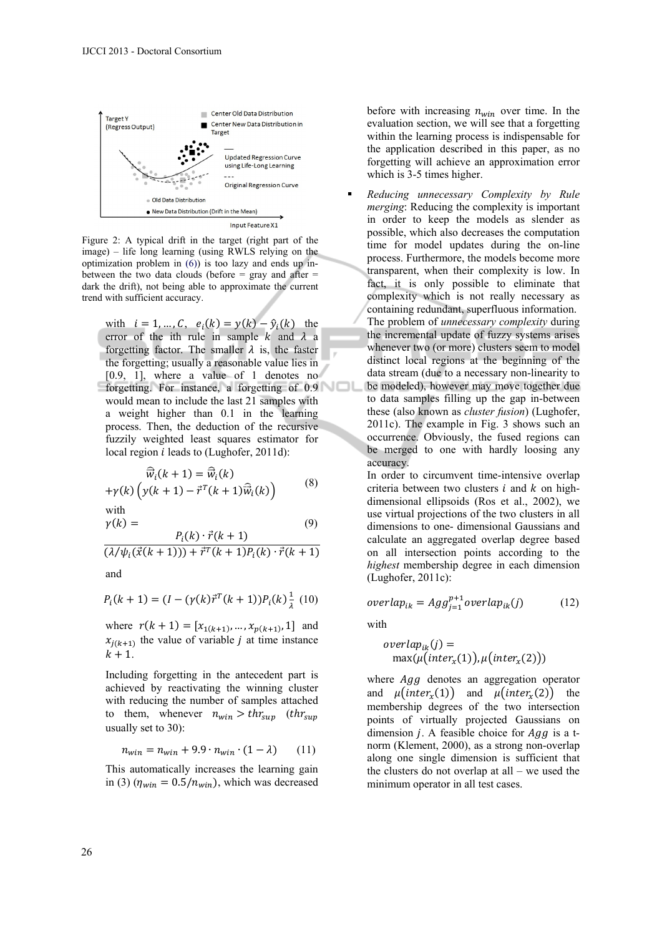

Figure 2: A typical drift in the target (right part of the image) – life long learning (using RWLS relying on the optimization problem in (6)) is too lazy and ends up inbetween the two data clouds (before  $=$  gray and after  $=$ dark the drift), not being able to approximate the current trend with sufficient accuracy.

with  $i = 1, ..., C, e_i(k) = y(k) - \hat{y}_i(k)$  the error of the ith rule in sample  $k$  and  $\lambda$  a forgetting factor. The smaller  $\lambda$  is, the faster the forgetting; usually a reasonable value lies in [0.9, 1], where a value of 1 denotes no forgetting. For instance, a forgetting of 0.9 would mean to include the last 21 samples with a weight higher than 0.1 in the learning process. Then, the deduction of the recursive fuzzily weighted least squares estimator for local region  $i$  leads to (Lughofer, 2011d):

$$
\widehat{\vec{w}}_i(k+1) = \widehat{\vec{w}}_i(k) + \gamma(k) \left( y(k+1) - \vec{r}^T(k+1) \widehat{\vec{w}}_i(k) \right)
$$
(8)

with

$$
\gamma(k) = \qquad (9)
$$
  

$$
\frac{P_i(k) \cdot \vec{r}(k+1)}{(\lambda/\psi_i(\vec{x}(k+1))) + \vec{r}^T(k+1)P_i(k) \cdot \vec{r}(k+1)}
$$

and

$$
P_i(k + 1) = (I - (\gamma(k)\vec{r}^T(k + 1))P_i(k)\frac{1}{\lambda}(10)
$$

where  $r(k + 1) = [x_{1(k+1)}, ..., x_{p(k+1)}, 1]$  and  $x_{i(k+1)}$  the value of variable *j* at time instance  $k+1$ .

Including forgetting in the antecedent part is achieved by reactivating the winning cluster with reducing the number of samples attached to them, whenever  $n_{win} > thr_{sun}$  (thr<sub>sup</sub> usually set to 30):

$$
n_{win} = n_{win} + 9.9 \cdot n_{win} \cdot (1 - \lambda) \qquad (11)
$$

This automatically increases the learning gain in (3) ( $\eta_{win} = 0.5/n_{win}$ ), which was decreased

before with increasing  $n_{win}$  over time. In the evaluation section, we will see that a forgetting within the learning process is indispensable for the application described in this paper, as no forgetting will achieve an approximation error which is 3-5 times higher.

 *Reducing unnecessary Complexity by Rule merging*: Reducing the complexity is important in order to keep the models as slender as possible, which also decreases the computation time for model updates during the on-line process. Furthermore, the models become more transparent, when their complexity is low. In fact, it is only possible to eliminate that complexity which is not really necessary as containing redundant, superfluous information. The problem of *unnecessary complexity* during the incremental update of fuzzy systems arises whenever two (or more) clusters seem to model distinct local regions at the beginning of the data stream (due to a necessary non-linearity to be modeled), however may move together due to data samples filling up the gap in-between these (also known as *cluster fusion*) (Lughofer, 2011c). The example in Fig. 3 shows such an occurrence. Obviously, the fused regions can be merged to one with hardly loosing any accuracy.

In order to circumvent time-intensive overlap criteria between two clusters  $i$  and  $k$  on highdimensional ellipsoids (Ros et al., 2002), we use virtual projections of the two clusters in all dimensions to one- dimensional Gaussians and calculate an aggregated overlap degree based on all intersection points according to the *highest* membership degree in each dimension (Lughofer, 2011c):

$$
overlap_{ik} = Agg_{j=1}^{p+1} overlap_{ik}(j)
$$
 (12)

with

$$
overlap_{ik}(j) = \max(\mu(inter_x(1)), \mu(inter_x(2)))
$$

where *Agg* denotes an aggregation operator and  $\mu(inter_x(1))$  and  $\mu(inter_x(2))$  the membership degrees of the two intersection points of virtually projected Gaussians on dimension *j*. A feasible choice for  $Agg$  is a tnorm (Klement, 2000), as a strong non-overlap along one single dimension is sufficient that the clusters do not overlap at all – we used the minimum operator in all test cases.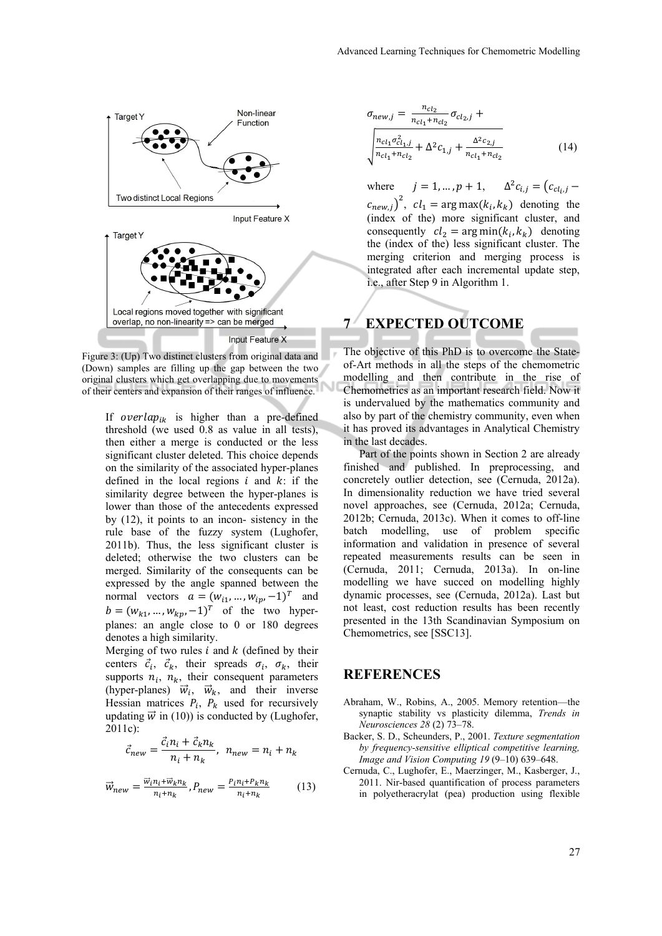

Figure 3: (Up) Two distinct clusters from original data and (Down) samples are filling up the gap between the two original clusters which get overlapping due to movements of their centers and expansion of their ranges of influence.

If overlap<sub>ik</sub> is higher than a pre-defined threshold (we used 0.8 as value in all tests), then either a merge is conducted or the less significant cluster deleted. This choice depends on the similarity of the associated hyper-planes defined in the local regions  $i$  and  $k$ : if the similarity degree between the hyper-planes is lower than those of the antecedents expressed by (12), it points to an incon- sistency in the rule base of the fuzzy system (Lughofer, 2011b). Thus, the less significant cluster is deleted; otherwise the two clusters can be merged. Similarity of the consequents can be expressed by the angle spanned between the normal vectors  $a = (w_{i1}, ..., w_{ip}, -1)^T$  and  $b = (w_{k1}, ..., w_{kp}, -1)^T$  of the two hyperplanes: an angle close to 0 or 180 degrees denotes a high similarity.

Merging of two rules  $i$  and  $k$  (defined by their centers  $\vec{c}_i$ ,  $\vec{c}_k$ , their spreads  $\sigma_i$ ,  $\sigma_k$ , their supports  $n_i$ ,  $n_k$ , their consequent parameters (hyper-planes)  $\vec{w}_i$ ,  $\vec{w}_k$ , and their inverse Hessian matrices  $P_i$ ,  $P_k$  used for recursively updating  $\vec{w}$  in (10)) is conducted by (Lughofer, 2011c):

$$
\vec{c}_{new} = \frac{\vec{c}_i n_i + \vec{c}_k n_k}{n_i + n_k}, \ \ n_{new} = n_i + n_k
$$

$$
\vec{w}_{new} = \frac{\vec{w}_i n_i + \vec{w}_k n_k}{n_i + n_k}, P_{new} = \frac{P_i n_i + P_k n_k}{n_i + n_k} \tag{13}
$$

$$
\sigma_{new,j} = \frac{n_{cl_2}}{n_{cl_1} + n_{cl_2}} \sigma_{cl_2,j} + \frac{n_{cl_1} + n_{cl_2}}{n_{cl_1} + n_{cl_2}} \sigma_{cl_1,j} + \frac{\Delta^2 c_{2,j}}{n_{cl_1} + n_{cl_2}} \tag{14}
$$

where  $j = 1, ..., p + 1, \Delta^2 c_{i,j} = (c_{c_{i,j}} (c_{new,j})^2$ ,  $cl_1 = \arg \max(k_i, k_k)$  denoting the (index of the) more significant cluster, and consequently  $cl_2 = \arg \min(k_i, k_k)$  denoting the (index of the) less significant cluster. The merging criterion and merging process is integrated after each incremental update step, i.e., after Step 9 in Algorithm 1.

# **7 EXPECTED OUTCOME**

The objective of this PhD is to overcome the Stateof-Art methods in all the steps of the chemometric modelling and then contribute in the rise of Chemometrics as an important research field. Now it is undervalued by the mathematics community and also by part of the chemistry community, even when it has proved its advantages in Analytical Chemistry in the last decades.

Part of the points shown in Section 2 are already finished and published. In preprocessing, and concretely outlier detection, see (Cernuda, 2012a). In dimensionality reduction we have tried several novel approaches, see (Cernuda, 2012a; Cernuda, 2012b; Cernuda, 2013c). When it comes to off-line batch modelling, use of problem specific information and validation in presence of several repeated measurements results can be seen in (Cernuda, 2011; Cernuda, 2013a). In on-line modelling we have succed on modelling highly dynamic processes, see (Cernuda, 2012a). Last but not least, cost reduction results has been recently presented in the 13th Scandinavian Symposium on Chemometrics, see [SSC13].

### **REFERENCES**

- Abraham, W., Robins, A., 2005. Memory retention—the synaptic stability vs plasticity dilemma, *Trends in Neurosciences 28* (2) 73–78.
- Backer, S. D., Scheunders, P., 2001. *Texture segmentation by frequency-sensitive elliptical competitive learning, Image and Vision Computing 19* (9–10) 639–648.
- Cernuda, C., Lughofer, E., Maerzinger, M., Kasberger, J., 2011. Nir-based quantification of process parameters in polyetheracrylat (pea) production using flexible